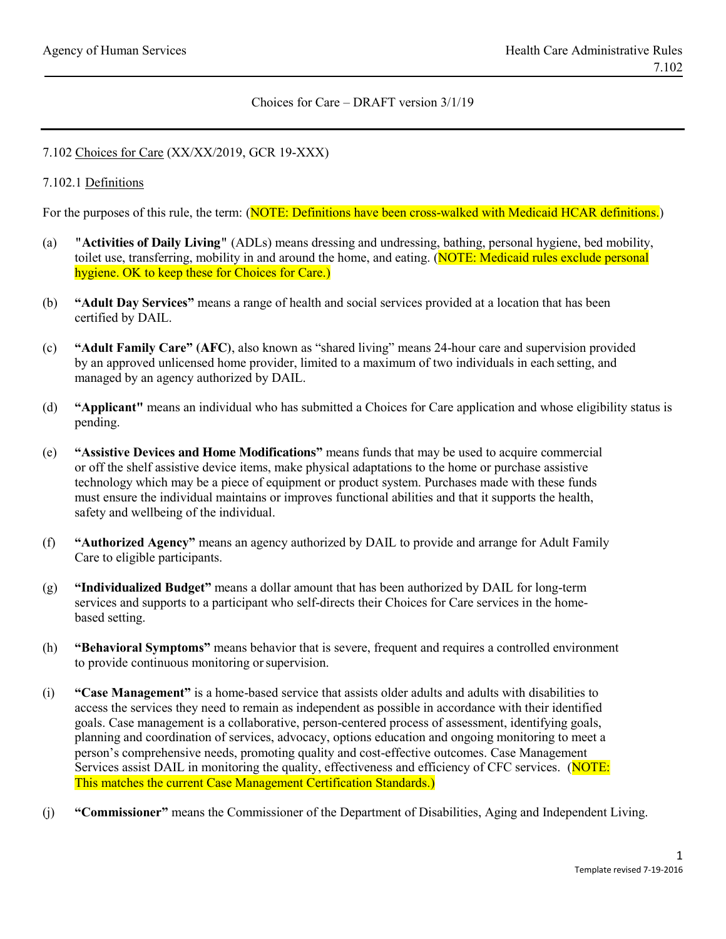#### Choices for Care – DRAFT version 3/1/19

### 7.102 Choices for Care (XX/XX/2019, GCR 19-XXX)

### 7.102.1 Definitions

For the purposes of this rule, the term: (NOTE: Definitions have been cross-walked with Medicaid HCAR definitions.)

- (a) **"Activities of Daily Living"** (ADLs) means dressing and undressing, bathing, personal hygiene, bed mobility, toilet use, transferring, mobility in and around the home, and eating. (NOTE: Medicaid rules exclude personal hygiene. OK to keep these for Choices for Care.)
- (b) **"Adult Day Services"** means a range of health and social services provided at a location that has been certified by DAIL.
- (c) **"Adult Family Care" (AFC)**, also known as "shared living" means 24-hour care and supervision provided by an approved unlicensed home provider, limited to a maximum of two individuals in each setting, and managed by an agency authorized by DAIL.
- (d) **"Applicant"** means an individual who has submitted a Choices for Care application and whose eligibility status is pending.
- (e) **"Assistive Devices and Home Modifications"** means funds that may be used to acquire commercial or off the shelf assistive device items, make physical adaptations to the home or purchase assistive technology which may be a piece of equipment or product system. Purchases made with these funds must ensure the individual maintains or improves functional abilities and that it supports the health, safety and wellbeing of the individual.
- (f) **"Authorized Agency"** means an agency authorized by DAIL to provide and arrange for Adult Family Care to eligible participants.
- (g) **"Individualized Budget"** means a dollar amount that has been authorized by DAIL for long-term services and supports to a participant who self-directs their Choices for Care services in the homebased setting.
- (h) **"Behavioral Symptoms"** means behavior that is severe, frequent and requires a controlled environment to provide continuous monitoring orsupervision.
- (i) **"Case Management"** is a home-based service that assists older adults and adults with disabilities to access the services they need to remain as independent as possible in accordance with their identified goals. Case management is a collaborative, person-centered process of assessment, identifying goals, planning and coordination of services, advocacy, options education and ongoing monitoring to meet a person's comprehensive needs, promoting quality and cost-effective outcomes. Case Management Services assist DAIL in monitoring the quality, effectiveness and efficiency of CFC services. (NOTE: This matches the current Case Management Certification Standards.)
- (j) **"Commissioner"** means the Commissioner of the Department of Disabilities, Aging and Independent Living.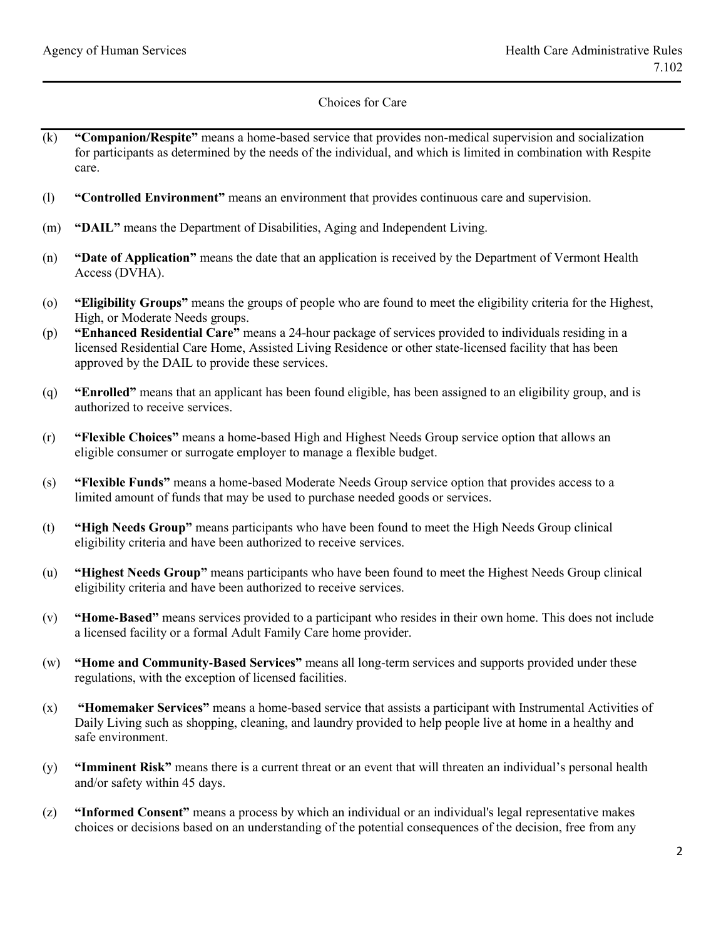- (k) **"Companion/Respite"** means a home-based service that provides non-medical supervision and socialization for participants as determined by the needs of the individual, and which is limited in combination with Respite care.
- (l) **"Controlled Environment"** means an environment that provides continuous care and supervision.
- (m) **"DAIL"** means the Department of Disabilities, Aging and Independent Living.
- (n) **"Date of Application"** means the date that an application is received by the Department of Vermont Health Access (DVHA).
- (o) **"Eligibility Groups"** means the groups of people who are found to meet the eligibility criteria for the Highest, High, or Moderate Needs groups.
- (p) **"Enhanced Residential Care"** means a 24-hour package of services provided to individuals residing in a licensed Residential Care Home, Assisted Living Residence or other state-licensed facility that has been approved by the DAIL to provide these services.
- (q) **"Enrolled"** means that an applicant has been found eligible, has been assigned to an eligibility group, and is authorized to receive services.
- (r) **"Flexible Choices"** means a home-based High and Highest Needs Group service option that allows an eligible consumer or surrogate employer to manage a flexible budget.
- (s) **"Flexible Funds"** means a home-based Moderate Needs Group service option that provides access to a limited amount of funds that may be used to purchase needed goods or services.
- (t) **"High Needs Group"** means participants who have been found to meet the High Needs Group clinical eligibility criteria and have been authorized to receive services.
- (u) **"Highest Needs Group"** means participants who have been found to meet the Highest Needs Group clinical eligibility criteria and have been authorized to receive services.
- (v) **"Home-Based"** means services provided to a participant who resides in their own home. This does not include a licensed facility or a formal Adult Family Care home provider.
- (w) **"Home and Community-Based Services"** means all long-term services and supports provided under these regulations, with the exception of licensed facilities.
- (x) **"Homemaker Services"** means a home-based service that assists a participant with Instrumental Activities of Daily Living such as shopping, cleaning, and laundry provided to help people live at home in a healthy and safe environment.
- (y) **"Imminent Risk"** means there is a current threat or an event that will threaten an individual's personal health and/or safety within 45 days.
- (z) **"Informed Consent"** means a process by which an individual or an individual's legal representative makes choices or decisions based on an understanding of the potential consequences of the decision, free from any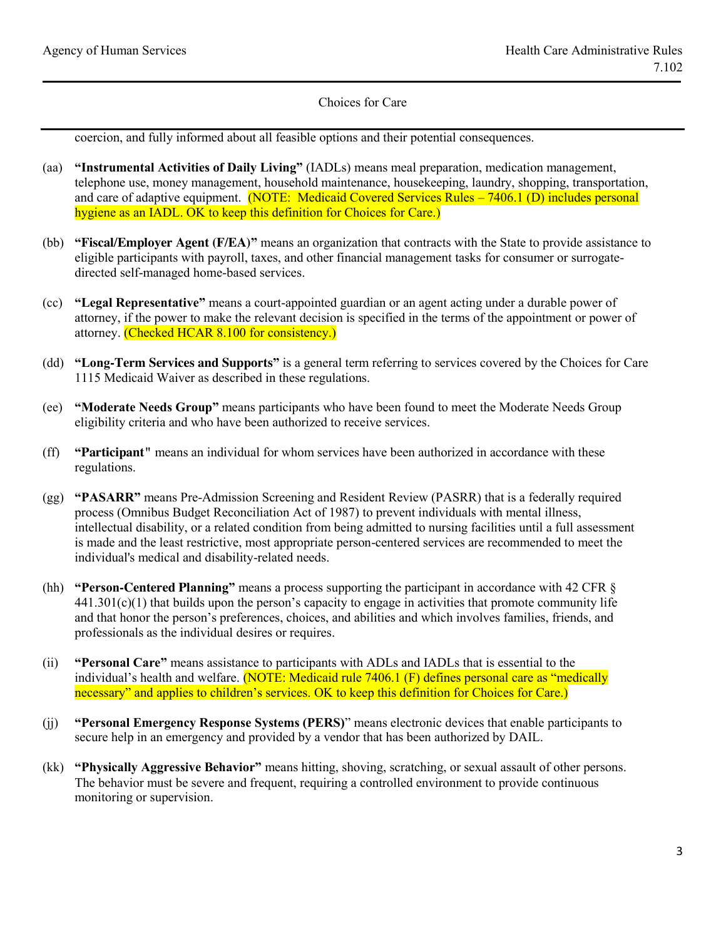coercion, and fully informed about all feasible options and their potential consequences.

- (aa) **"Instrumental Activities of Daily Living"** (IADLs) means meal preparation, medication management, telephone use, money management, household maintenance, housekeeping, laundry, shopping, transportation, and care of adaptive equipment. (NOTE: Medicaid Covered Services Rules – 7406.1 (D) includes personal hygiene as an IADL. OK to keep this definition for Choices for Care.)
- (bb) **"Fiscal/Employer Agent (F/EA)"** means an organization that contracts with the State to provide assistance to eligible participants with payroll, taxes, and other financial management tasks for consumer or surrogatedirected self-managed home-based services.
- (cc) **"Legal Representative"** means a court-appointed guardian or an agent acting under a durable power of attorney, if the power to make the relevant decision is specified in the terms of the appointment or power of attorney. (Checked HCAR 8.100 for consistency.)
- (dd) **"Long-Term Services and Supports"** is a general term referring to services covered by the Choices for Care 1115 Medicaid Waiver as described in these regulations.
- (ee) **"Moderate Needs Group"** means participants who have been found to meet the Moderate Needs Group eligibility criteria and who have been authorized to receive services.
- (ff) **"Participant"** means an individual for whom services have been authorized in accordance with these regulations.
- (gg) **"PASARR"** means Pre-Admission Screening and Resident Review (PASRR) that is a federally required process (Omnibus Budget Reconciliation Act of 1987) to prevent individuals with mental illness, intellectual disability, or a related condition from being admitted to nursing facilities until a full assessment is made and the least restrictive, most appropriate person-centered services are recommended to meet the individual's medical and disability-related needs.
- (hh) **"Person-Centered Planning"** means a process supporting the participant in accordance with 42 CFR §  $441.301(c)(1)$  that builds upon the person's capacity to engage in activities that promote community life and that honor the person's preferences, choices, and abilities and which involves families, friends, and professionals as the individual desires or requires.
- (ii) **"Personal Care"** means assistance to participants with ADLs and IADLs that is essential to the individual's health and welfare. (NOTE: Medicaid rule 7406.1 (F) defines personal care as "medically necessary" and applies to children's services. OK to keep this definition for Choices for Care.)
- (jj) **"Personal Emergency Response Systems (PERS)**" means electronic devices that enable participants to secure help in an emergency and provided by a vendor that has been authorized by DAIL.
- (kk) **"Physically Aggressive Behavior"** means hitting, shoving, scratching, or sexual assault of other persons. The behavior must be severe and frequent, requiring a controlled environment to provide continuous monitoring or supervision.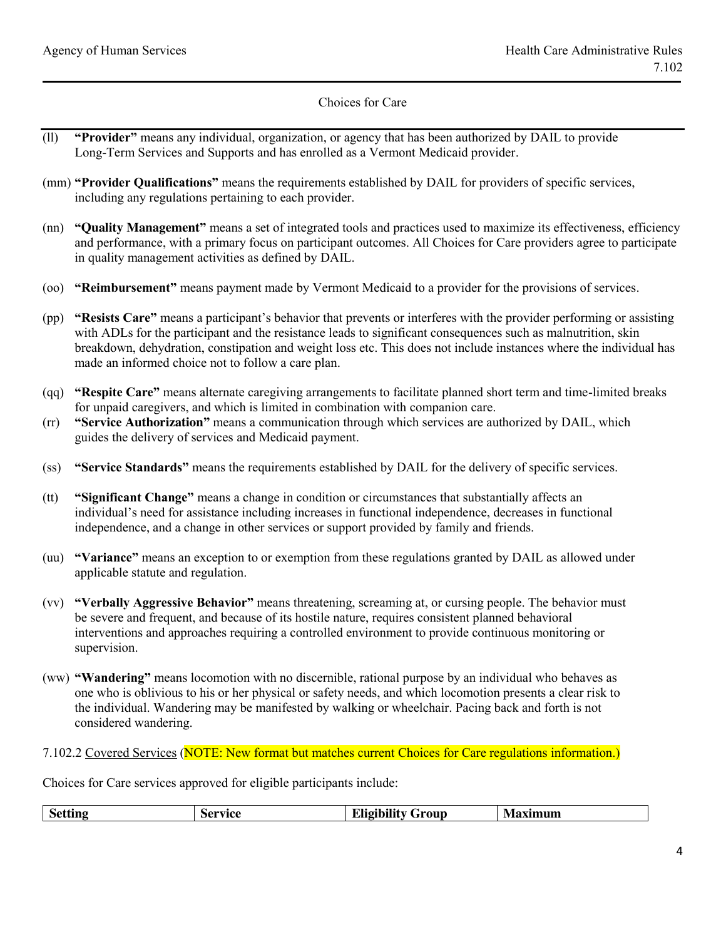- (ll) **"Provider"** means any individual, organization, or agency that has been authorized by DAIL to provide Long-Term Services and Supports and has enrolled as a Vermont Medicaid provider.
- (mm) **"Provider Qualifications"** means the requirements established by DAIL for providers of specific services, including any regulations pertaining to each provider.
- (nn) **"Quality Management"** means a set of integrated tools and practices used to maximize its effectiveness, efficiency and performance, with a primary focus on participant outcomes. All Choices for Care providers agree to participate in quality management activities as defined by DAIL.
- (oo) **"Reimbursement"** means payment made by Vermont Medicaid to a provider for the provisions of services.
- (pp) **"Resists Care"** means a participant's behavior that prevents or interferes with the provider performing or assisting with ADLs for the participant and the resistance leads to significant consequences such as malnutrition, skin breakdown, dehydration, constipation and weight loss etc. This does not include instances where the individual has made an informed choice not to follow a care plan.
- (qq) **"Respite Care"** means alternate caregiving arrangements to facilitate planned short term and time-limited breaks for unpaid caregivers, and which is limited in combination with companion care.
- (rr) **"Service Authorization"** means a communication through which services are authorized by DAIL, which guides the delivery of services and Medicaid payment.
- (ss) **"Service Standards"** means the requirements established by DAIL for the delivery of specific services.
- (tt) **"Significant Change"** means a change in condition or circumstances that substantially affects an individual's need for assistance including increases in functional independence, decreases in functional independence, and a change in other services or support provided by family and friends.
- (uu) **"Variance"** means an exception to or exemption from these regulations granted by DAIL as allowed under applicable statute and regulation.
- (vv) **"Verbally Aggressive Behavior"** means threatening, screaming at, or cursing people. The behavior must be severe and frequent, and because of its hostile nature, requires consistent planned behavioral interventions and approaches requiring a controlled environment to provide continuous monitoring or supervision.
- (ww) **"Wandering"** means locomotion with no discernible, rational purpose by an individual who behaves as one who is oblivious to his or her physical or safety needs, and which locomotion presents a clear risk to the individual. Wandering may be manifested by walking or wheelchair. Pacing back and forth is not considered wandering.

#### 7.102.2 Covered Services (NOTE: New format but matches current Choices for Care regulations information.)

Choices for Care services approved for eligible participants include:

| <b>Setting</b> | Service | <b>Eligibility Group</b> | <b>Maximum</b> |
|----------------|---------|--------------------------|----------------|
|----------------|---------|--------------------------|----------------|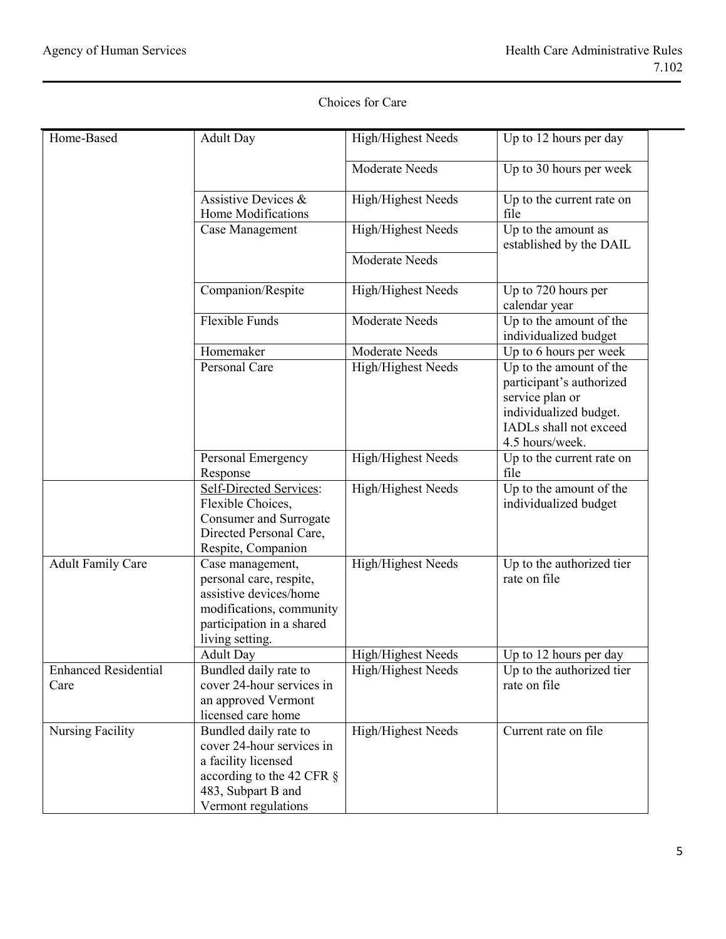| Home-Based                          | <b>Adult Day</b>                                                                                                                                       | High/Highest Needs | Up to 12 hours per day                                                                                                                        |
|-------------------------------------|--------------------------------------------------------------------------------------------------------------------------------------------------------|--------------------|-----------------------------------------------------------------------------------------------------------------------------------------------|
|                                     |                                                                                                                                                        | Moderate Needs     | Up to 30 hours per week                                                                                                                       |
|                                     | Assistive Devices &<br>Home Modifications                                                                                                              | High/Highest Needs | Up to the current rate on<br>file                                                                                                             |
|                                     | Case Management                                                                                                                                        | High/Highest Needs | Up to the amount as<br>established by the DAIL                                                                                                |
|                                     |                                                                                                                                                        | Moderate Needs     |                                                                                                                                               |
|                                     | Companion/Respite                                                                                                                                      | High/Highest Needs | Up to 720 hours per<br>calendar year                                                                                                          |
|                                     | <b>Flexible Funds</b>                                                                                                                                  | Moderate Needs     | Up to the amount of the<br>individualized budget                                                                                              |
|                                     | Homemaker                                                                                                                                              | Moderate Needs     | Up to 6 hours per week                                                                                                                        |
|                                     | Personal Care                                                                                                                                          | High/Highest Needs | Up to the amount of the<br>participant's authorized<br>service plan or<br>individualized budget.<br>IADLs shall not exceed<br>4.5 hours/week. |
|                                     | Personal Emergency<br>Response                                                                                                                         | High/Highest Needs | Up to the current rate on<br>file                                                                                                             |
|                                     | Self-Directed Services:<br>Flexible Choices,<br>Consumer and Surrogate<br>Directed Personal Care,<br>Respite, Companion                                | High/Highest Needs | Up to the amount of the<br>individualized budget                                                                                              |
| <b>Adult Family Care</b>            | Case management,<br>personal care, respite,<br>assistive devices/home<br>modifications, community<br>participation in a shared<br>living setting.      | High/Highest Needs | Up to the authorized tier<br>rate on file                                                                                                     |
|                                     | <b>Adult Day</b>                                                                                                                                       | High/Highest Needs | Up to 12 hours per day                                                                                                                        |
| <b>Enhanced Residential</b><br>Care | Bundled daily rate to<br>cover 24-hour services in<br>an approved Vermont<br>licensed care home                                                        | High/Highest Needs | Up to the authorized tier<br>rate on file                                                                                                     |
| <b>Nursing Facility</b>             | Bundled daily rate to<br>cover 24-hour services in<br>a facility licensed<br>according to the 42 CFR $\S$<br>483, Subpart B and<br>Vermont regulations | High/Highest Needs | Current rate on file                                                                                                                          |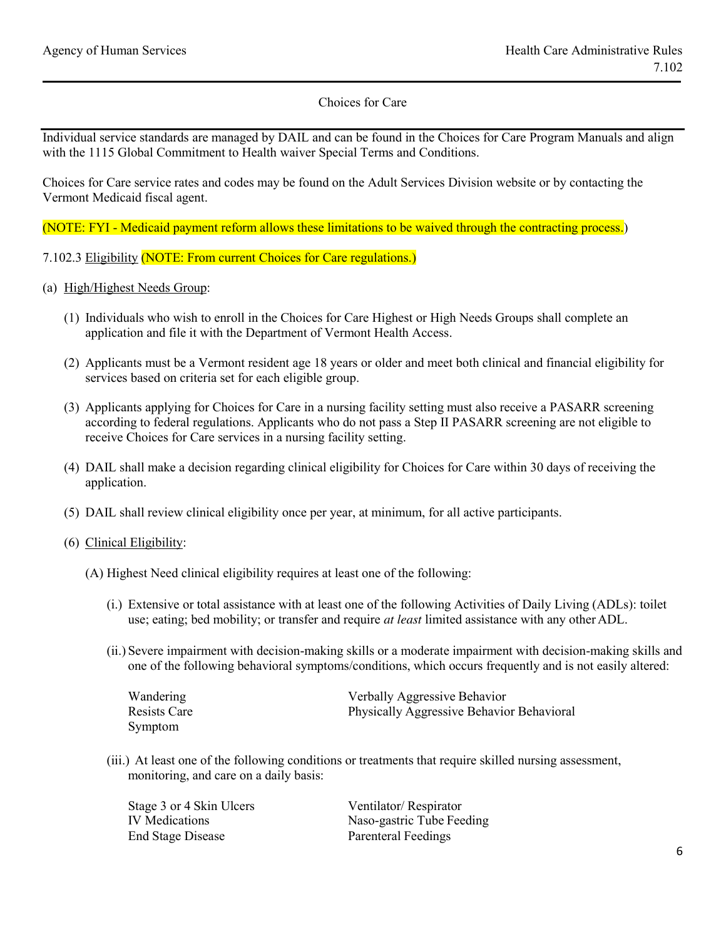Individual service standards are managed by DAIL and can be found in the Choices for Care Program Manuals and align with the 1115 Global Commitment to Health waiver Special Terms and Conditions.

Choices for Care service rates and codes may be found on the Adult Services Division website or by contacting the Vermont Medicaid fiscal agent.

(NOTE: FYI - Medicaid payment reform allows these limitations to be waived through the contracting process.)

7.102.3 Eligibility (NOTE: From current Choices for Care regulations.)

- (a) High/Highest Needs Group:
	- (1) Individuals who wish to enroll in the Choices for Care Highest or High Needs Groups shall complete an application and file it with the Department of Vermont Health Access.
	- (2) Applicants must be a Vermont resident age 18 years or older and meet both clinical and financial eligibility for services based on criteria set for each eligible group.
	- (3) Applicants applying for Choices for Care in a nursing facility setting must also receive a PASARR screening according to federal regulations. Applicants who do not pass a Step II PASARR screening are not eligible to receive Choices for Care services in a nursing facility setting.
	- (4) DAIL shall make a decision regarding clinical eligibility for Choices for Care within 30 days of receiving the application.
	- (5) DAIL shall review clinical eligibility once per year, at minimum, for all active participants.
	- (6) Clinical Eligibility:
		- (A) Highest Need clinical eligibility requires at least one of the following:
			- (i.) Extensive or total assistance with at least one of the following Activities of Daily Living (ADLs): toilet use; eating; bed mobility; or transfer and require *at least* limited assistance with any otherADL.
			- (ii.) Severe impairment with decision-making skills or a moderate impairment with decision-making skills and one of the following behavioral symptoms/conditions, which occurs frequently and is not easily altered:

| Wandering    | Verbally Aggressive Behavior              |
|--------------|-------------------------------------------|
| Resists Care | Physically Aggressive Behavior Behavioral |
| Symptom      |                                           |

(iii.) At least one of the following conditions or treatments that require skilled nursing assessment, monitoring, and care on a daily basis:

| Stage 3 or 4 Skin Ulcers | Ventilator/Respirator      |
|--------------------------|----------------------------|
| IV Medications           | Naso-gastric Tube Feeding  |
| <b>End Stage Disease</b> | <b>Parenteral Feedings</b> |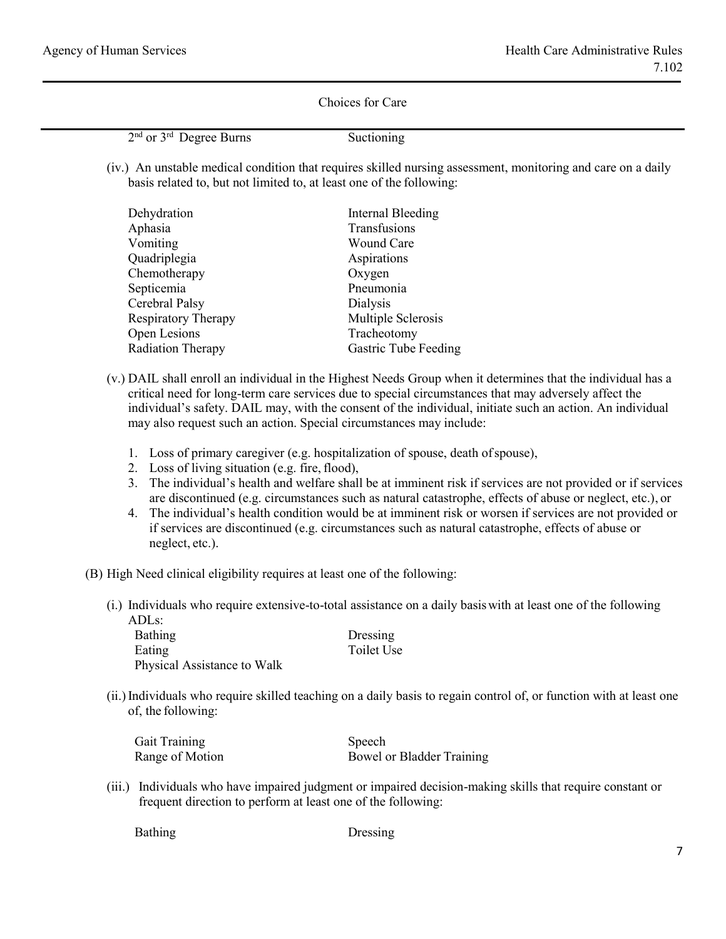2<sup>nd</sup> or 3<sup>rd</sup> Degree Burns Suctioning

(iv.) An unstable medical condition that requires skilled nursing assessment, monitoring and care on a daily basis related to, but not limited to, at least one of the following:

| Dehydration                | Internal Bleeding           |
|----------------------------|-----------------------------|
| Aphasia                    | Transfusions                |
| Vomiting                   | Wound Care                  |
| Quadriplegia               | Aspirations                 |
| Chemotherapy               | Oxygen                      |
| Septicemia                 | Pneumonia                   |
| Cerebral Palsy             | <b>Dialysis</b>             |
| <b>Respiratory Therapy</b> | Multiple Sclerosis          |
| Open Lesions               | Tracheotomy                 |
| <b>Radiation Therapy</b>   | <b>Gastric Tube Feeding</b> |

- (v.) DAIL shall enroll an individual in the Highest Needs Group when it determines that the individual has a critical need for long-term care services due to special circumstances that may adversely affect the individual's safety. DAIL may, with the consent of the individual, initiate such an action. An individual may also request such an action. Special circumstances may include:
	- 1. Loss of primary caregiver (e.g. hospitalization of spouse, death ofspouse),
	- 2. Loss of living situation (e.g. fire, flood),
	- 3. The individual's health and welfare shall be at imminent risk if services are not provided or if services are discontinued (e.g. circumstances such as natural catastrophe, effects of abuse or neglect, etc.), or
	- 4. The individual's health condition would be at imminent risk or worsen if services are not provided or if services are discontinued (e.g. circumstances such as natural catastrophe, effects of abuse or neglect, etc.).
- (B) High Need clinical eligibility requires at least one of the following:
	- (i.) Individuals who require extensive-to-total assistance on a daily basiswith at least one of the following ADLs:

Bathing Dressing Eating Toilet Use Physical Assistance to Walk

(ii.)Individuals who require skilled teaching on a daily basis to regain control of, or function with at least one of, the following:

| Gait Training   | Speech                    |
|-----------------|---------------------------|
| Range of Motion | Bowel or Bladder Training |

(iii.) Individuals who have impaired judgment or impaired decision-making skills that require constant or frequent direction to perform at least one of the following:

Bathing Dressing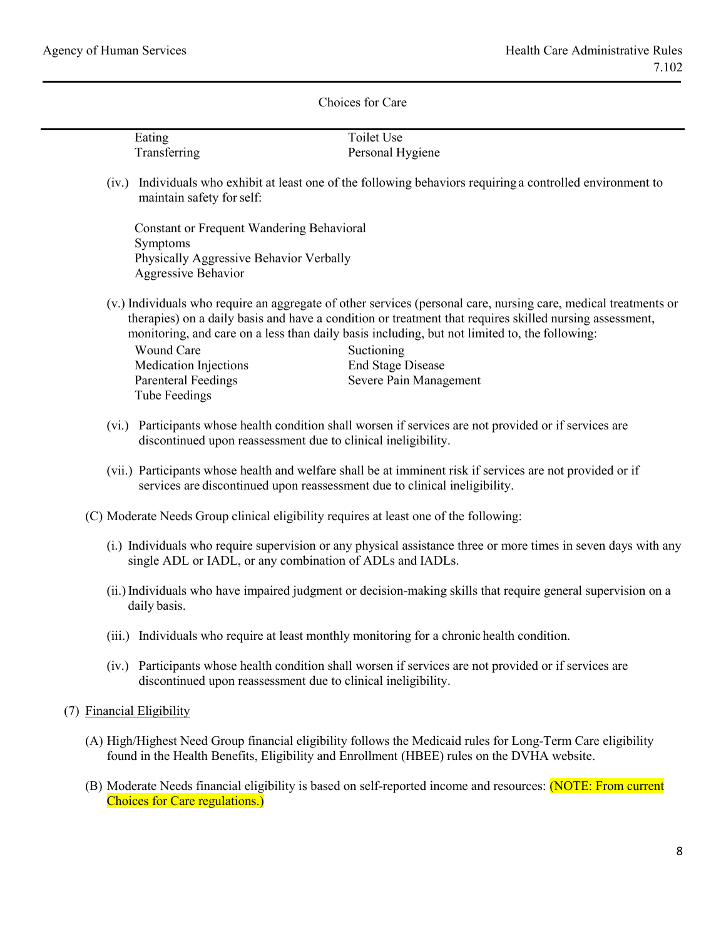|                           | Eating                                                                                | <b>Toilet Use</b>                                                                                                                                                                                                                                                                                                           |
|---------------------------|---------------------------------------------------------------------------------------|-----------------------------------------------------------------------------------------------------------------------------------------------------------------------------------------------------------------------------------------------------------------------------------------------------------------------------|
|                           | Transferring                                                                          | Personal Hygiene                                                                                                                                                                                                                                                                                                            |
|                           |                                                                                       |                                                                                                                                                                                                                                                                                                                             |
|                           | maintain safety for self:                                                             | (iv.) Individuals who exhibit at least one of the following behaviors requiring a controlled environment to                                                                                                                                                                                                                 |
|                           | <b>Constant or Frequent Wandering Behavioral</b><br>Symptoms                          |                                                                                                                                                                                                                                                                                                                             |
|                           | Physically Aggressive Behavior Verbally<br>Aggressive Behavior                        |                                                                                                                                                                                                                                                                                                                             |
|                           |                                                                                       | (v.) Individuals who require an aggregate of other services (personal care, nursing care, medical treatments or<br>therapies) on a daily basis and have a condition or treatment that requires skilled nursing assessment,<br>monitoring, and care on a less than daily basis including, but not limited to, the following: |
|                           | <b>Wound Care</b>                                                                     | Suctioning                                                                                                                                                                                                                                                                                                                  |
|                           | <b>Medication Injections</b>                                                          | <b>End Stage Disease</b>                                                                                                                                                                                                                                                                                                    |
|                           | <b>Parenteral Feedings</b>                                                            | Severe Pain Management                                                                                                                                                                                                                                                                                                      |
|                           | <b>Tube Feedings</b>                                                                  |                                                                                                                                                                                                                                                                                                                             |
|                           | discontinued upon reassessment due to clinical ineligibility.                         | (vi.) Participants whose health condition shall worsen if services are not provided or if services are                                                                                                                                                                                                                      |
|                           | services are discontinued upon reassessment due to clinical ineligibility.            | (vii.) Participants whose health and welfare shall be at imminent risk if services are not provided or if                                                                                                                                                                                                                   |
|                           | (C) Moderate Needs Group clinical eligibility requires at least one of the following: |                                                                                                                                                                                                                                                                                                                             |
|                           | single ADL or IADL, or any combination of ADLs and IADLs.                             | (i.) Individuals who require supervision or any physical assistance three or more times in seven days with any                                                                                                                                                                                                              |
|                           | daily basis.                                                                          | (ii.) Individuals who have impaired judgment or decision-making skills that require general supervision on a                                                                                                                                                                                                                |
|                           |                                                                                       | (iii.) Individuals who require at least monthly monitoring for a chronic health condition.                                                                                                                                                                                                                                  |
|                           | discontinued upon reassessment due to clinical ineligibility.                         | (iv.) Participants whose health condition shall worsen if services are not provided or if services are                                                                                                                                                                                                                      |
| (7) Financial Eligibility |                                                                                       |                                                                                                                                                                                                                                                                                                                             |
|                           |                                                                                       | (A) High/Highest Need Group financial eligibility follows the Medicaid rules for Long-Term Care eligibility<br>found in the Health Benefits, Eligibility and Enrollment (HBEE) rules on the DVHA website.                                                                                                                   |
|                           |                                                                                       | (R) Moderate Needs financial eligibility is based on self-reported income and resources: (NOTE: From current                                                                                                                                                                                                                |

(B) Moderate Needs financial eligibility is based on self-reported income and resources: (NOTE: From current Choices for Care regulations.)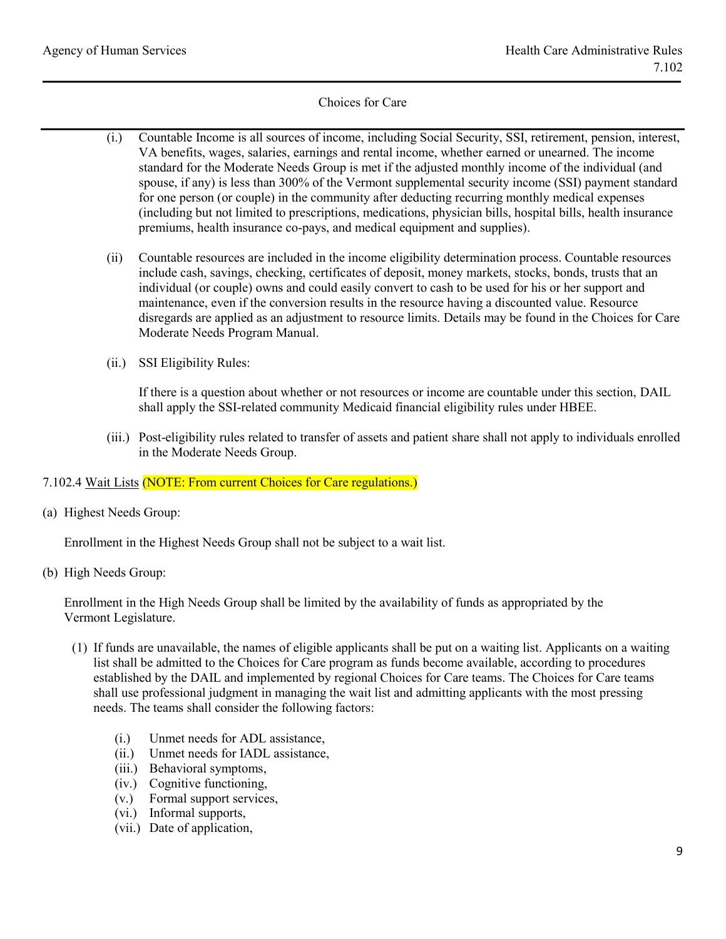- (i.) Countable Income is all sources of income, including Social Security, SSI, retirement, pension, interest, VA benefits, wages, salaries, earnings and rental income, whether earned or unearned. The income standard for the Moderate Needs Group is met if the adjusted monthly income of the individual (and spouse, if any) is less than 300% of the Vermont supplemental security income (SSI) payment standard for one person (or couple) in the community after deducting recurring monthly medical expenses (including but not limited to prescriptions, medications, physician bills, hospital bills, health insurance premiums, health insurance co-pays, and medical equipment and supplies).
- (ii) Countable resources are included in the income eligibility determination process. Countable resources include cash, savings, checking, certificates of deposit, money markets, stocks, bonds, trusts that an individual (or couple) owns and could easily convert to cash to be used for his or her support and maintenance, even if the conversion results in the resource having a discounted value. Resource disregards are applied as an adjustment to resource limits. Details may be found in the Choices for Care Moderate Needs Program Manual.
- (ii.) SSI Eligibility Rules:

If there is a question about whether or not resources or income are countable under this section, DAIL shall apply the SSI-related community Medicaid financial eligibility rules under HBEE.

(iii.) Post-eligibility rules related to transfer of assets and patient share shall not apply to individuals enrolled in the Moderate Needs Group.

## 7.102.4 Wait Lists (NOTE: From current Choices for Care regulations.)

(a) Highest Needs Group:

Enrollment in the Highest Needs Group shall not be subject to a wait list.

(b) High Needs Group:

Enrollment in the High Needs Group shall be limited by the availability of funds as appropriated by the Vermont Legislature.

- (1) If funds are unavailable, the names of eligible applicants shall be put on a waiting list. Applicants on a waiting list shall be admitted to the Choices for Care program as funds become available, according to procedures established by the DAIL and implemented by regional Choices for Care teams. The Choices for Care teams shall use professional judgment in managing the wait list and admitting applicants with the most pressing needs. The teams shall consider the following factors:
	- (i.) Unmet needs for ADL assistance,
	- (ii.) Unmet needs for IADL assistance,
	- (iii.) Behavioral symptoms,
	- (iv.) Cognitive functioning,
	- (v.) Formal support services,
	- (vi.) Informal supports,
	- (vii.) Date of application,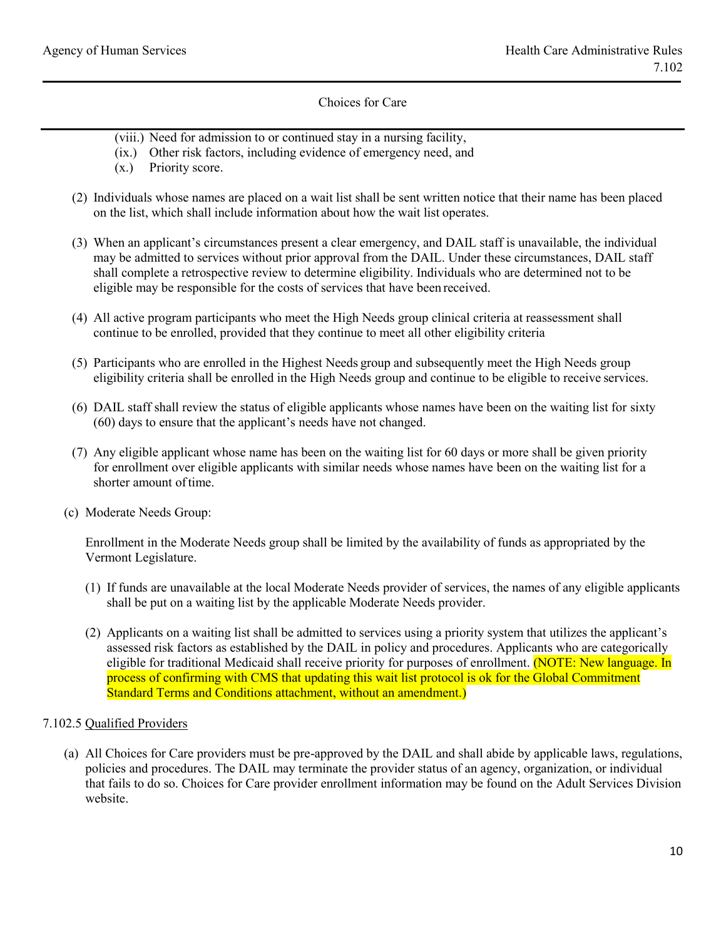- (viii.) Need for admission to or continued stay in a nursing facility,
- (ix.) Other risk factors, including evidence of emergency need, and
- (x.) Priority score.
- (2) Individuals whose names are placed on a wait list shall be sent written notice that their name has been placed on the list, which shall include information about how the wait list operates.
- (3) When an applicant's circumstances present a clear emergency, and DAIL staff is unavailable, the individual may be admitted to services without prior approval from the DAIL. Under these circumstances, DAIL staff shall complete a retrospective review to determine eligibility. Individuals who are determined not to be eligible may be responsible for the costs of services that have been received.
- (4) All active program participants who meet the High Needs group clinical criteria at reassessment shall continue to be enrolled, provided that they continue to meet all other eligibility criteria
- (5) Participants who are enrolled in the Highest Needs group and subsequently meet the High Needs group eligibility criteria shall be enrolled in the High Needs group and continue to be eligible to receive services.
- (6) DAIL staff shall review the status of eligible applicants whose names have been on the waiting list for sixty (60) days to ensure that the applicant's needs have not changed.
- (7) Any eligible applicant whose name has been on the waiting list for 60 days or more shall be given priority for enrollment over eligible applicants with similar needs whose names have been on the waiting list for a shorter amount of time.
- (c) Moderate Needs Group:

Enrollment in the Moderate Needs group shall be limited by the availability of funds as appropriated by the Vermont Legislature.

- (1) If funds are unavailable at the local Moderate Needs provider of services, the names of any eligible applicants shall be put on a waiting list by the applicable Moderate Needs provider.
- (2) Applicants on a waiting list shall be admitted to services using a priority system that utilizes the applicant's assessed risk factors as established by the DAIL in policy and procedures. Applicants who are categorically eligible for traditional Medicaid shall receive priority for purposes of enrollment. (NOTE: New language. In process of confirming with CMS that updating this wait list protocol is ok for the Global Commitment Standard Terms and Conditions attachment, without an amendment.)

## 7.102.5 Qualified Providers

(a) All Choices for Care providers must be pre-approved by the DAIL and shall abide by applicable laws, regulations, policies and procedures. The DAIL may terminate the provider status of an agency, organization, or individual that fails to do so. Choices for Care provider enrollment information may be found on the Adult Services Division website.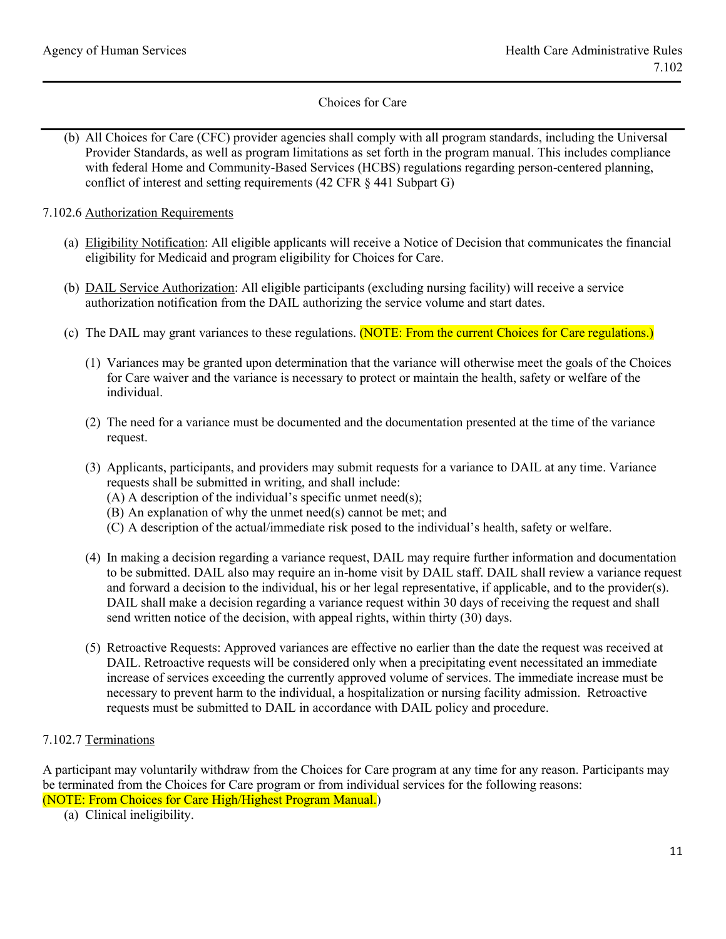- (b) All Choices for Care (CFC) provider agencies shall comply with all program standards, including the Universal Provider Standards, as well as program limitations as set forth in the program manual. This includes compliance with federal Home and Community-Based Services (HCBS) regulations regarding person-centered planning, conflict of interest and setting requirements (42 CFR § 441 Subpart G)
- 7.102.6 Authorization Requirements
	- (a) Eligibility Notification: All eligible applicants will receive a Notice of Decision that communicates the financial eligibility for Medicaid and program eligibility for Choices for Care.
	- (b) DAIL Service Authorization: All eligible participants (excluding nursing facility) will receive a service authorization notification from the DAIL authorizing the service volume and start dates.
	- (c) The DAIL may grant variances to these regulations. (NOTE: From the current Choices for Care regulations.)
		- (1) Variances may be granted upon determination that the variance will otherwise meet the goals of the Choices for Care waiver and the variance is necessary to protect or maintain the health, safety or welfare of the individual.
		- (2) The need for a variance must be documented and the documentation presented at the time of the variance request.
		- (3) Applicants, participants, and providers may submit requests for a variance to DAIL at any time. Variance requests shall be submitted in writing, and shall include:
			- (A) A description of the individual's specific unmet need(s);
			- (B) An explanation of why the unmet need(s) cannot be met; and
			- (C) A description of the actual/immediate risk posed to the individual's health, safety or welfare.
		- (4) In making a decision regarding a variance request, DAIL may require further information and documentation to be submitted. DAIL also may require an in-home visit by DAIL staff. DAIL shall review a variance request and forward a decision to the individual, his or her legal representative, if applicable, and to the provider(s). DAIL shall make a decision regarding a variance request within 30 days of receiving the request and shall send written notice of the decision, with appeal rights, within thirty (30) days.
		- (5) Retroactive Requests: Approved variances are effective no earlier than the date the request was received at DAIL. Retroactive requests will be considered only when a precipitating event necessitated an immediate increase of services exceeding the currently approved volume of services. The immediate increase must be necessary to prevent harm to the individual, a hospitalization or nursing facility admission. Retroactive requests must be submitted to DAIL in accordance with DAIL policy and procedure.

## 7.102.7 Terminations

A participant may voluntarily withdraw from the Choices for Care program at any time for any reason. Participants may be terminated from the Choices for Care program or from individual services for the following reasons: (NOTE: From Choices for Care High/Highest Program Manual.)

(a) Clinical ineligibility.